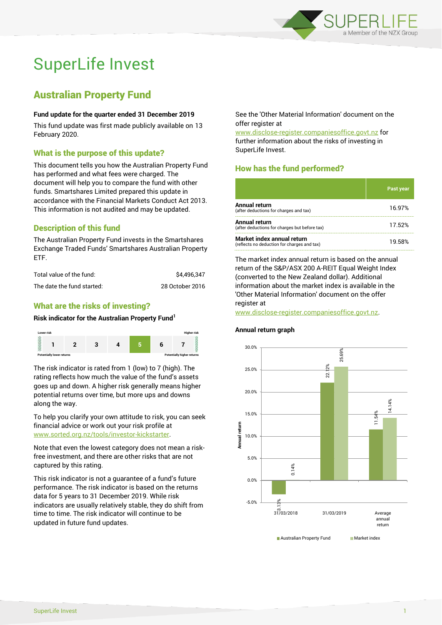

# SuperLife Invest

## Australian Property Fund

#### **Fund update for the quarter ended 31 December 2019**

This fund update was first made publicly available on 13 February 2020.

### What is the purpose of this update?

This document tells you how the Australian Property Fund has performed and what fees were charged. The document will help you to compare the fund with other funds. Smartshares Limited prepared this update in accordance with the Financial Markets Conduct Act 2013. This information is not audited and may be updated.

## Description of this fund

The Australian Property Fund invests in the Smartshares Exchange Traded Funds' Smartshares Australian Property ETF.

| Total value of the fund:   | \$4.496.347     |
|----------------------------|-----------------|
| The date the fund started: | 28 October 2016 |

## What are the risks of investing?

#### **Risk indicator for the Australian Property Fund<sup>1</sup>**



The risk indicator is rated from 1 (low) to 7 (high). The rating reflects how much the value of the fund's assets goes up and down. A higher risk generally means higher potential returns over time, but more ups and downs along the way.

To help you clarify your own attitude to risk, you can seek financial advice or work out your risk profile at [www.sorted.org.nz/tools/investor-kickstarter.](http://www.sorted.org.nz/tools/investor-kickstarter)

Note that even the lowest category does not mean a riskfree investment, and there are other risks that are not captured by this rating.

This risk indicator is not a guarantee of a fund's future performance. The risk indicator is based on the returns data for 5 years to 31 December 2019. While risk indicators are usually relatively stable, they do shift from time to time. The risk indicator will continue to be updated in future fund updates.

See the 'Other Material Information' document on the offer register at

www.disclose-register.companiesoffice.govt.nz for further information about the risks of investing in SuperLife Invest.

## How has the fund performed?

|                                                                           | <b>Past year</b> |
|---------------------------------------------------------------------------|------------------|
| <b>Annual return</b><br>(after deductions for charges and tax)            | 16.97%           |
| Annual return<br>(after deductions for charges but before tax)            | 17.52%           |
| Market index annual return<br>(reflects no deduction for charges and tax) | 19.58%           |

The market index annual return is based on the annual return of the S&P/ASX 200 A-REIT Equal Weight Index (converted to the New Zealand dollar). Additional information about the market index is available in the 'Other Material Information' document on the offer register at

www.disclose-register.companiesoffice.govt.nz.

#### **Annual return graph**

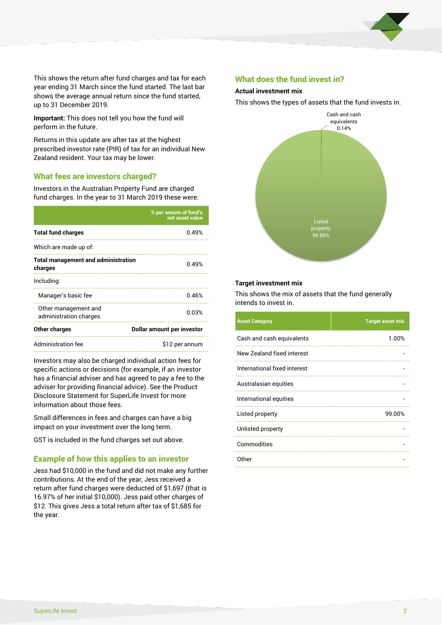

This shows the return after fund charges and tax for each year ending 31 March since the fund started. The last bar shows the average annual return since the fund started, up to 31 December 2019.

**Important:** This does not tell you how the fund will perform in the future.

Returns in this update are after tax at the highest prescribed investor rate (PIR) of tax for an individual New Zealand resident. Your tax may be lower.

#### What fees are investors charged?

Investors in the Australian Property Fund are charged fund charges. In the year to 31 March 2019 these were:

|                                                       | % per annum of fund's<br>net asset value |  |
|-------------------------------------------------------|------------------------------------------|--|
| <b>Total fund charges</b>                             | 0.49%                                    |  |
| Which are made up of:                                 |                                          |  |
| <b>Total management and administration</b><br>charges | 0.49%                                    |  |
| Including:                                            |                                          |  |
| Manager's basic fee                                   | 0.46%                                    |  |
| Other management and<br>administration charges        | 0.03%                                    |  |
| Other charges                                         | Dollar amount per investor               |  |
| Administration fee                                    | \$12 per annum                           |  |

Investors may also be charged individual action fees for specific actions or decisions (for example, if an investor has a financial adviser and has agreed to pay a fee to the adviser for providing financial advice). See the Product Disclosure Statement for SuperLife Invest for more information about those fees.

Small differences in fees and charges can have a big impact on your investment over the long term.

GST is included in the fund charges set out above.

#### Example of how this applies to an investor

Jess had \$10,000 in the fund and did not make any further contributions. At the end of the year, Jess received a return after fund charges were deducted of \$1,697 (that is 16.97% of her initial \$10,000). Jess paid other charges of \$12. This gives Jess a total return after tax of \$1,685 for the year.

#### What does the fund invest in?

#### **Actual investment mix**

This shows the types of assets that the fund invests in.



#### **Target investment mix**

This shows the mix of assets that the fund generally intends to invest in.

| <b>Asset Category</b>        | <b>Target asset mix</b> |
|------------------------------|-------------------------|
| Cash and cash equivalents    | 1.00%                   |
| New Zealand fixed interest   |                         |
| International fixed interest |                         |
| Australasian equities        |                         |
| International equities       |                         |
| Listed property              | 99.00%                  |
| Unlisted property            |                         |
| Commodities                  |                         |
| Other                        |                         |